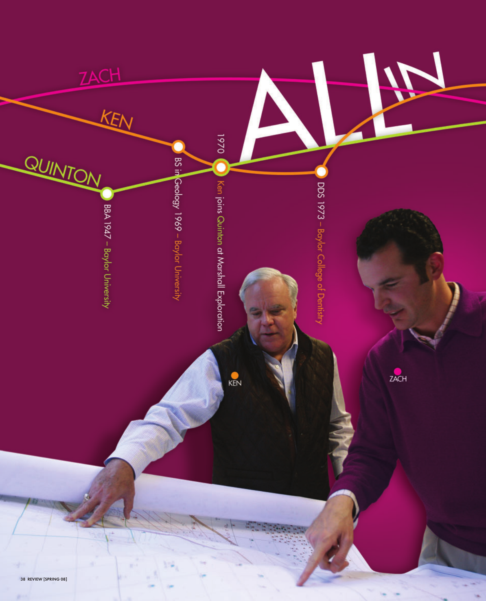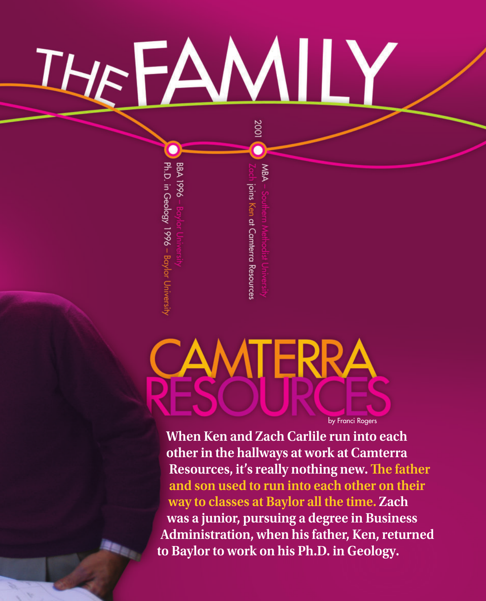## THEAMIL 2001

Ph.D. in Geology 1996 - Baylor University **BBA 1996** 

MBA ioins Ken at Camterra Resources

CAMTERRA by Franci Rogers

**When Ken and Zach Carlile run into each other in the hallways at work at Camterra Resources, it's really nothing new. The father and son used to run into each other on their way to classes at Baylor all the time. Zach was a junior, pursuing a degree in Business Administration, when his father, Ken, returned to Baylor to work on his Ph.D. in Geology.**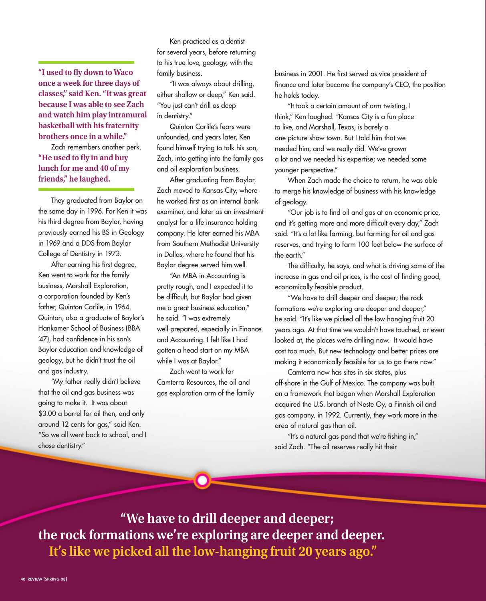**"I used to fly down to Waco once a week for three days of classes," said Ken. "It was great because I was able to see Zach and watch him play intramural basketball with his fraternity brothers once in a while."**

Zach remembers another perk. **"He used to fly in and buy lunch for me and 40 of my friends," he laughed.**

They graduated from Baylor on the same day in 1996. For Ken it was his third degree from Baylor, having previously earned his BS in Geology in 1969 and a DDS from Baylor College of Dentistry in 1973.

After earning his first degree, Ken went to work for the family business, Marshall Exploration, a corporation founded by Ken's father, Quinton Carlile, in 1964. Quinton, also a graduate of Baylor's Hankamer School of Business (BBA '47), had confidence in his son's Baylor education and knowledge of geology, but he didn't trust the oil and gas industry.

"My father really didn't believe that the oil and gas business was going to make it. It was about \$3.00 a barrel for oil then, and only around 12 cents for gas," said Ken. "So we all went back to school, and I chose dentistry."

Ken practiced as a dentist for several years, before returning to his true love, geology, with the family business.

"It was always about drilling, either shallow or deep," Ken said. "You just can't drill as deep in dentistry."

Quinton Carlile's fears were unfounded, and years later, Ken found himself trying to talk his son, Zach, into getting into the family gas and oil exploration business.

After graduating from Baylor, Zach moved to Kansas City, where he worked first as an internal bank examiner, and later as an investment analyst for a life insurance holding company. He later earned his MBA from Southern Methodist University in Dallas, where he found that his Baylor degree served him well.

"An MBA in Accounting is pretty rough, and I expected it to be difficult, but Baylor had given me a great business education," he said. "I was extremely well-prepared, especially in Finance and Accounting. I felt like I had gotten a head start on my MBA while I was at Baylor."

Zach went to work for Camterra Resources, the oil and gas exploration arm of the family business in 2001. He first served as vice president of finance and later became the company's CEO, the position he holds today.

"It took a certain amount of arm twisting, I think," Ken laughed. "Kansas City is a fun place to live, and Marshall, Texas, is barely a one-picture-show town. But I told him that we needed him, and we really did. We've grown a lot and we needed his expertise; we needed some younger perspective."

When Zach made the choice to return, he was able to merge his knowledge of business with his knowledge of geology.

"Our job is to find oil and gas at an economic price, and it's getting more and more difficult every day," Zach said. "It's a lot like farming, but farming for oil and gas reserves, and trying to farm 100 feet below the surface of the earth."

The difficulty, he says, and what is driving some of the increase in gas and oil prices, is the cost of finding good, economically feasible product.

"We have to drill deeper and deeper; the rock formations we're exploring are deeper and deeper," he said. "It's like we picked all the low-hanging fruit 20 years ago. At that time we wouldn't have touched, or even looked at, the places we're drilling now. It would have cost too much. But new technology and better prices are making it economically feasible for us to go there now."

Camterra now has sites in six states, plus off-shore in the Gulf of Mexico. The company was built on a framework that began when Marshall Exploration acquired the U.S. branch of Neste Oy, a Finnish oil and gas company, in 1992. Currently, they work more in the area of natural gas than oil.

"It's a natural gas pond that we're fishing in," said Zach. "The oil reserves really hit their

 **"We have to drill deeper and deeper; the rock formations we're exploring are deeper and deeper. It's like we picked all the low-hanging fruit 20 years ago."**